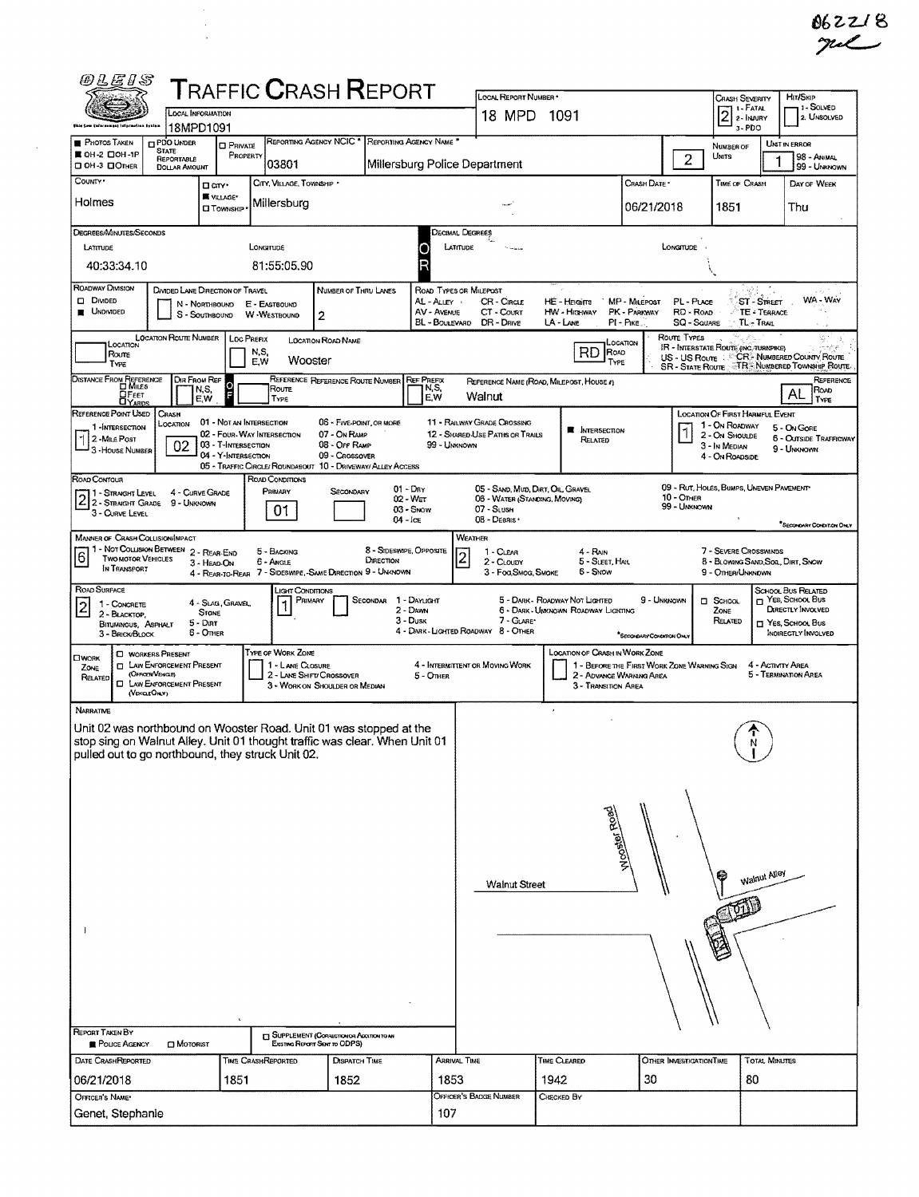| @LEIS                                                                                                                                                                                                                                                                                                                                                                                                                                                                                                                    |                                                                                                                        |                                                                        | <b>TRAFFIC CRASH REPORT</b>                                                               |                                                                                  |                   |                                         | LOCAL REPORT NUMBER *                                                            |                                                                                                                                                                                                                                                                          |                                                                         |                                   | <b>CRASH SEVERITY</b>                                                | <b>HIT/SKIP</b>                                                   |  |
|--------------------------------------------------------------------------------------------------------------------------------------------------------------------------------------------------------------------------------------------------------------------------------------------------------------------------------------------------------------------------------------------------------------------------------------------------------------------------------------------------------------------------|------------------------------------------------------------------------------------------------------------------------|------------------------------------------------------------------------|-------------------------------------------------------------------------------------------|----------------------------------------------------------------------------------|-------------------|-----------------------------------------|----------------------------------------------------------------------------------|--------------------------------------------------------------------------------------------------------------------------------------------------------------------------------------------------------------------------------------------------------------------------|-------------------------------------------------------------------------|-----------------------------------|----------------------------------------------------------------------|-------------------------------------------------------------------|--|
|                                                                                                                                                                                                                                                                                                                                                                                                                                                                                                                          | <b>LOCAL INFORMATION</b>                                                                                               |                                                                        |                                                                                           |                                                                                  |                   |                                         | 18 MPD                                                                           | 1091                                                                                                                                                                                                                                                                     |                                                                         |                                   | 1 - FATAL<br>2Ī<br>2-INJURY                                          | 1 1 - Solved<br>2. UNSOLVED                                       |  |
| <b>PHOTOS TAKEN</b>                                                                                                                                                                                                                                                                                                                                                                                                                                                                                                      | 18MPD1091<br><b>PDO UNDER</b>                                                                                          |                                                                        |                                                                                           | REPORTING AGENCY NCIC <sup>*</sup>                                               |                   | REPORTING AGENCY NAME *                 |                                                                                  |                                                                                                                                                                                                                                                                          |                                                                         |                                   | 3-PDO                                                                | UNIT IN ERROR                                                     |  |
| <b>■ OH-2 口OH-1P</b><br>CI OH -3 CI OTHER                                                                                                                                                                                                                                                                                                                                                                                                                                                                                | <b>STATE</b><br>REPORTABLE<br><b>DOLLAR AMOUNT</b>                                                                     | <b>D</b> PRIVATE<br>PROPERTY                                           | 03801                                                                                     |                                                                                  |                   |                                         | Millersburg Police Department                                                    |                                                                                                                                                                                                                                                                          |                                                                         | $\overline{2}$                    | NUMBER OF<br>UNITS                                                   | 98 - ANIMAL<br>99 - UNKNOWN                                       |  |
| County ·<br>Holmes                                                                                                                                                                                                                                                                                                                                                                                                                                                                                                       |                                                                                                                        | <b>O</b> cny<br><b>K</b> VILLAGE*<br><b>CI TOWNSHIP</b>                | CITY, VILLAGE, TOWNSHIP .<br>Millersburg                                                  |                                                                                  |                   |                                         |                                                                                  |                                                                                                                                                                                                                                                                          | CRASH DATE *<br>06/21/2018                                              |                                   | TIME OF CRASH<br>1851                                                | DAY OF WEEK<br>Thu                                                |  |
| DEGREES/MINUTES/SECONDS                                                                                                                                                                                                                                                                                                                                                                                                                                                                                                  |                                                                                                                        |                                                                        |                                                                                           |                                                                                  |                   |                                         | Decimal Degrees                                                                  |                                                                                                                                                                                                                                                                          |                                                                         |                                   |                                                                      |                                                                   |  |
| LATITUDE                                                                                                                                                                                                                                                                                                                                                                                                                                                                                                                 |                                                                                                                        |                                                                        | LONGITUDE                                                                                 |                                                                                  |                   | LATITUDE                                |                                                                                  |                                                                                                                                                                                                                                                                          |                                                                         | LONGTTUDE                         |                                                                      |                                                                   |  |
| 40:33:34.10                                                                                                                                                                                                                                                                                                                                                                                                                                                                                                              |                                                                                                                        |                                                                        | 81:55:05.90                                                                               |                                                                                  |                   |                                         |                                                                                  |                                                                                                                                                                                                                                                                          |                                                                         |                                   |                                                                      |                                                                   |  |
| ROADWAY DIVISION<br>DIVIDED LANE DIRECTION OF TRAVEL<br><b>NUMBER OF THRU LANES</b><br>ROAD TYPES OR MILEPOST<br>WA - WAY<br>D DIVIDED<br>CR - CIRCLE<br><b>MP - MILEPOST</b><br>ST - STREET<br>AL-ALLEY<br><b>HE-HEGITS</b><br>PL - PLACE<br>E - EASTBOUND<br>N NORTHBOUND<br><b>UNDIVIDED</b><br>AV - AVENUE<br>CT - COURT<br>PK - PARKWAY<br>RD - Roap<br>TE - TERRACE<br>HW - HIGHWAY<br>2<br>s<br>- SOUTHBOUND<br>W -WESTBOUND<br>SQ - SOUARE<br>BL - Boulevard<br>DR - DRIVE<br>LA - LANE<br>PI - PIKE<br>TL-TRAIL |                                                                                                                        |                                                                        |                                                                                           |                                                                                  |                   |                                         |                                                                                  |                                                                                                                                                                                                                                                                          |                                                                         |                                   |                                                                      |                                                                   |  |
| <b>LOCATION ROUTE NUMBER</b><br>Route TYPES<br><b>LOC PREFIX</b><br><b>LOCATION ROAD NAME</b><br>Location<br>LOCATION<br><b>IR - INTERSTATE ROUTE (INC. TURNPIKE)</b><br>RD.<br>ROAD<br>N.S.<br>Route<br>US - US Route : CR. NUMBERED COUNTY ROUTE<br>Wooster<br>E.W<br>TYPE                                                                                                                                                                                                                                             |                                                                                                                        |                                                                        |                                                                                           |                                                                                  |                   |                                         |                                                                                  |                                                                                                                                                                                                                                                                          |                                                                         |                                   |                                                                      |                                                                   |  |
| Type<br>DISTANCE FROM REFERENCE                                                                                                                                                                                                                                                                                                                                                                                                                                                                                          | DIR FROM REP                                                                                                           | $\circ$<br>N,S,                                                        | Route                                                                                     | REFERENCE REFERENCE ROUTE NUMBER                                                 |                   | <b>REF PREFIX</b><br>N,S,               |                                                                                  | REPERENCE NAME (ROAD, MILEPOST, HOUSE #)                                                                                                                                                                                                                                 |                                                                         |                                   |                                                                      | SR - STATE ROUTE TRE NUMBERED TOWNSHIP ROUTE<br>REFERENCE<br>Road |  |
| <b>OFEET</b><br>REFERENCE POINT USED                                                                                                                                                                                                                                                                                                                                                                                                                                                                                     | CRASH                                                                                                                  | E,W                                                                    | TYPE                                                                                      |                                                                                  |                   | E,W                                     | Walnut                                                                           |                                                                                                                                                                                                                                                                          |                                                                         |                                   | <b>LOCATION OF FIRST HARMFUL EVENT</b>                               | TYPE                                                              |  |
| 1-INTERSECTION<br>2-MiLE POST<br>3-House NUMBER                                                                                                                                                                                                                                                                                                                                                                                                                                                                          | LOCATION<br>02                                                                                                         | 01 - Not an INTERSECTION<br>03 - T-INTERSECTION<br>04 - Y-INTERSECTION | 02 - FOUR-WAY INTERSECTION<br>05 - TRAFFIC CIRCLE/ ROUNDABOUT 10 - DRIVEWAY/ ALLEY ACCESS | 06 - FIVE-POINT, OR MORE<br>07 - On RAMP<br>08 - Off RAMP<br>09 - CROSSOVER      |                   | 99 - UNKNOWN                            | 11 - RAILWAY GRADE CROSSING<br>12 - SHARED-USE PATHS OR TRAILS                   | <b>E</b> INTERSECTION<br>RELATED                                                                                                                                                                                                                                         |                                                                         |                                   | 1 - On ROADWAY<br>2 - ON SHOULDE<br>3 - In Median<br>4 - On Roadside | 5 - On Gore<br><b>6 - OUTSIDE TRAFFICWAY</b><br>9 - UNKNOWN       |  |
| ROAD CONTOUR<br>1 - Straight Level<br>2 2- STRAIGHT LEVEL 4 - CURVE CH<br>3 - CURVE LEVEL                                                                                                                                                                                                                                                                                                                                                                                                                                | 4 - CURVE GRADE                                                                                                        |                                                                        | ROAD CONDITIONS<br>PRIMARY<br>01                                                          | Secondary                                                                        | $01 - \text{Dry}$ | $02 - W_{ET}$<br>03 - SNOW              | 05 - SAND, MUD, DIRT, OIL, GRAVEL<br>06 - WATER (STANDING, MOVING)<br>07 - SLUSH |                                                                                                                                                                                                                                                                          |                                                                         | <b>10 - OTHER</b><br>99 - UNKNOWN | 09 - RUT, HOLES, BUMPS, UNEVEN PAVEMENT                              |                                                                   |  |
| 04 - ICE<br>08 - DEBRIS ·<br>SECONDARY CONDITION ONLY<br><b>MANNER OF CRASH COLUSION/IMPACT</b><br>WEATHER<br>1 - Not Collision Between 2 - REAR-END<br>8 - Stoeswipe, Opposite<br>7 - Severe Crosswinds<br>5 - BACKING<br>1 - CLEAR<br>4 - Ran<br>$\overline{c}$<br>6<br><b>TWO MOTOR VEHICLES</b><br>DIRECTION<br>6 - Angle<br>5 - SLEET, HAIL<br>8 - BLOWING SAND, SOL, DIRT, SNOW<br>2 - CLOUDY<br>3 - HEAD-ON                                                                                                       |                                                                                                                        |                                                                        |                                                                                           |                                                                                  |                   |                                         |                                                                                  |                                                                                                                                                                                                                                                                          |                                                                         |                                   |                                                                      |                                                                   |  |
| IN TRANSPORT<br>4 - REAR-TO-REAR 7 - SIDESWIPE, -SAME DIRECTION 9 - UNKNOWN<br>6 - Snow<br>3 - Fog, Smog, Smoke<br>9 - OTHER/UNKNOWN<br>ROAD SURFACE<br><b>LIGHT CONDITIONS</b>                                                                                                                                                                                                                                                                                                                                          |                                                                                                                        |                                                                        |                                                                                           |                                                                                  |                   |                                         |                                                                                  |                                                                                                                                                                                                                                                                          |                                                                         |                                   |                                                                      |                                                                   |  |
| 1 - CONCRETE<br>$\overline{\mathbf{c}}$<br>2 - BLACKTOP.<br>BITUMINOUS, ASPHALT<br>3 - BRICK/BLOCK                                                                                                                                                                                                                                                                                                                                                                                                                       |                                                                                                                        | 4 - Slag, Gravel,<br><b>STONE</b><br>$5 -$ Dirt<br>6 - Omer            | PRIMARY                                                                                   |                                                                                  | <b>SECONDAR</b>   | 1 - DAYLIGHT<br>2 - DAWN<br>$3 - D$ usk | 7 - GLARE*<br>4 - DARK - LIGHTED ROADWAY 8 - OTHER                               | SCHOOL BUS RELATED<br>$\Box$ Yes, School Bus<br>5 - DARK - ROADWAY NOT LIGHTED<br>9 - Unknown<br>□ School<br>DIRECTLY INVOLVED<br>6 - DARK - UNKNOWN ROADWAY LIGHTING<br>ZONE<br>RELATED<br>T YES, SCHOOL BUS<br><b>INDIRECTLY INVOLVED</b><br>*SECONDARY CONDITION ONLY |                                                                         |                                   |                                                                      |                                                                   |  |
| <b>CIWORK</b><br>ZONE<br>RELATED<br>(VercutONY)                                                                                                                                                                                                                                                                                                                                                                                                                                                                          | <b>C WORKERS PRESENT</b><br><b>CI LAW ENFORCEMENT PRESENT</b><br>(OFROER/VEHICLE)<br><b>CI LAW ENFORCEMENT PRESENT</b> |                                                                        | TYPE OF WORK ZONE<br>1 - LANE CLOSURE                                                     | 2 - LANE SHIFT/CROSSOVER<br>3 - WORK ON SHOULDER OR MEDIAN                       |                   | 5 - OTHER                               | 4 - INTERMITTENT OR MOVING WORK                                                  | LOCATION OF CRASH IN WORK ZONE<br>3 - TRANSITION AREA                                                                                                                                                                                                                    | 1 - BEFORE THE FIRST WORK ZONE WARNING SIGN<br>2 - ADVANCE WARNING AREA |                                   |                                                                      | 4 - ACTIVITY AREA<br>5 - TERMINATION AREA                         |  |
| NARRATIVE<br>Unit 02 was northbound on Wooster Road. Unit 01 was stopped at the<br>stop sing on Walnut Alley. Unit 01 thought traffic was clear. When Unit 01                                                                                                                                                                                                                                                                                                                                                            |                                                                                                                        |                                                                        |                                                                                           |                                                                                  |                   |                                         |                                                                                  | $\pmb{\iota}$                                                                                                                                                                                                                                                            |                                                                         |                                   | N                                                                    |                                                                   |  |
| pulled out to go northbound, they struck Unit 02.                                                                                                                                                                                                                                                                                                                                                                                                                                                                        |                                                                                                                        |                                                                        |                                                                                           |                                                                                  |                   |                                         |                                                                                  |                                                                                                                                                                                                                                                                          |                                                                         |                                   |                                                                      |                                                                   |  |
|                                                                                                                                                                                                                                                                                                                                                                                                                                                                                                                          |                                                                                                                        |                                                                        |                                                                                           |                                                                                  |                   | MOOS 19190AV                            |                                                                                  |                                                                                                                                                                                                                                                                          |                                                                         |                                   |                                                                      |                                                                   |  |
|                                                                                                                                                                                                                                                                                                                                                                                                                                                                                                                          |                                                                                                                        |                                                                        |                                                                                           |                                                                                  |                   |                                         | Walnut Street                                                                    |                                                                                                                                                                                                                                                                          |                                                                         |                                   | Walnut Alley                                                         |                                                                   |  |
|                                                                                                                                                                                                                                                                                                                                                                                                                                                                                                                          |                                                                                                                        |                                                                        |                                                                                           |                                                                                  |                   |                                         |                                                                                  |                                                                                                                                                                                                                                                                          |                                                                         |                                   |                                                                      |                                                                   |  |
| REPORT TAKEN BY<br><b>Report AGENCY</b>                                                                                                                                                                                                                                                                                                                                                                                                                                                                                  | <b>CI MOTORIST</b>                                                                                                     |                                                                        |                                                                                           | <b>SUPPLEMENT (CORRECTION OR ADDITION TO AN</b><br>Existing Report Sent to ODPS) |                   |                                         |                                                                                  |                                                                                                                                                                                                                                                                          |                                                                         |                                   |                                                                      |                                                                   |  |
| DATE CRASHREPORTED                                                                                                                                                                                                                                                                                                                                                                                                                                                                                                       |                                                                                                                        |                                                                        | <b>TIME CRASHREPORTED</b>                                                                 | DISPATCH TIME                                                                    |                   | <b>ARRIVAL TIME</b>                     |                                                                                  | Time Cleared                                                                                                                                                                                                                                                             | OTHER INVESTIGATION TIME                                                |                                   |                                                                      | <b>TOTAL MINUTES</b>                                              |  |
| 06/21/2018<br>OFFICER'S NAME*                                                                                                                                                                                                                                                                                                                                                                                                                                                                                            |                                                                                                                        | 1851                                                                   |                                                                                           | 1852                                                                             |                   | 1853                                    | OFFICER'S BADGE NUMBER                                                           | 1942<br>CHECKED BY                                                                                                                                                                                                                                                       | 30                                                                      |                                   | 80                                                                   |                                                                   |  |
| Genet, Stephanie                                                                                                                                                                                                                                                                                                                                                                                                                                                                                                         |                                                                                                                        |                                                                        |                                                                                           |                                                                                  |                   | 107                                     |                                                                                  |                                                                                                                                                                                                                                                                          |                                                                         |                                   |                                                                      |                                                                   |  |

 $\frac{1}{\sqrt{2}}$ 

 $\sim 10^{11}$  km  $^{-1}$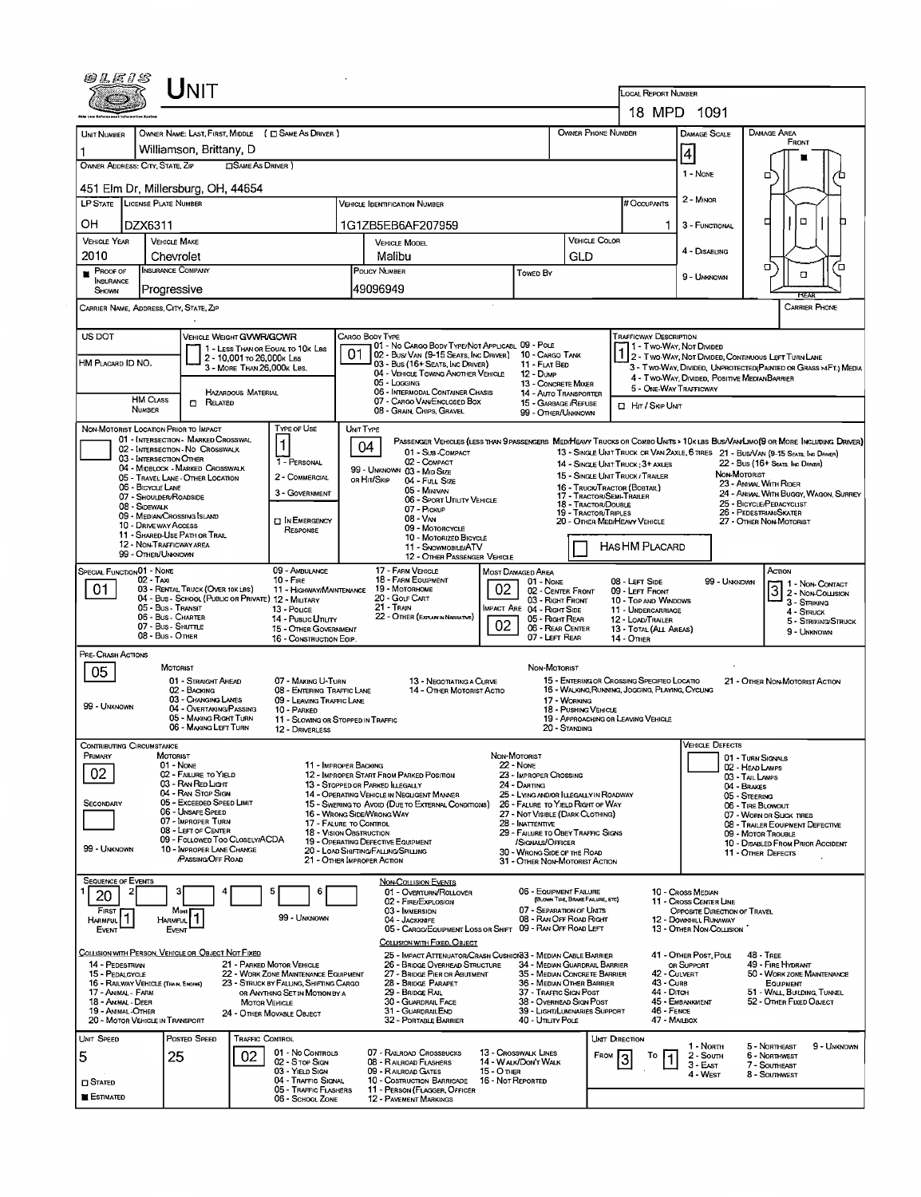|                                          | UNIT                                                                                      |                                                                                |                                                                                                 |                                                                       |                                                              |                                                  |                                                                                                   |                                                        |                                                                                                                                   |  |  |  |  |
|------------------------------------------|-------------------------------------------------------------------------------------------|--------------------------------------------------------------------------------|-------------------------------------------------------------------------------------------------|-----------------------------------------------------------------------|--------------------------------------------------------------|--------------------------------------------------|---------------------------------------------------------------------------------------------------|--------------------------------------------------------|-----------------------------------------------------------------------------------------------------------------------------------|--|--|--|--|
|                                          |                                                                                           | <b>LOCAL REPORT NUMBER</b>                                                     | 18 MPD 1091                                                                                     |                                                                       |                                                              |                                                  |                                                                                                   |                                                        |                                                                                                                                   |  |  |  |  |
|                                          |                                                                                           | OWNER NAME: LAST, FIRST, MIDDLE ( C SAME AS DRIVER )                           |                                                                                                 |                                                                       |                                                              |                                                  |                                                                                                   | DAMAGE SCALE                                           | <b>DAMAGE AREA</b>                                                                                                                |  |  |  |  |
| Unit Number                              | Williamson, Brittany, D                                                                   |                                                                                |                                                                                                 |                                                                       |                                                              | <b>OWNER PHONE NUMBER</b>                        |                                                                                                   |                                                        | FRONT                                                                                                                             |  |  |  |  |
| OWNER ADDRESS: CITY, STATE, ZIP          |                                                                                           | <b>CISAME AS DRIVER</b> )                                                      |                                                                                                 |                                                                       |                                                              |                                                  |                                                                                                   | $\vert 4 \vert$                                        |                                                                                                                                   |  |  |  |  |
|                                          | 451 Elm Dr, Millersburg, OH, 44654                                                        |                                                                                |                                                                                                 |                                                                       |                                                              |                                                  |                                                                                                   | 1 - NONE                                               | □                                                                                                                                 |  |  |  |  |
| LP STATE LICENSE PLATE NUMBER            |                                                                                           |                                                                                | <b>VEHICLE IDENTIFICATION NUMBER</b>                                                            |                                                                       |                                                              |                                                  | # Occupants                                                                                       | 2 - MINOR                                              |                                                                                                                                   |  |  |  |  |
| ОН                                       | DZX6311                                                                                   |                                                                                | 1G1ZB5EB6AF207959                                                                               |                                                                       |                                                              |                                                  |                                                                                                   |                                                        | $\Box$<br>₫                                                                                                                       |  |  |  |  |
| <b>VEHICLE YEAR</b>                      | <b>VEHICLE MAKE</b>                                                                       |                                                                                | <b>VEHICLE MODEL</b>                                                                            |                                                                       | <b>VEHICLE COLOR</b>                                         |                                                  |                                                                                                   |                                                        |                                                                                                                                   |  |  |  |  |
| 2010                                     | Chevrolet<br><b>INSURANCE COMPANY</b>                                                     |                                                                                | Malibu<br>POLICY NUMBER                                                                         |                                                                       |                                                              | GLD                                              |                                                                                                   | 4 - DISABLING                                          | σ<br>7⊡                                                                                                                           |  |  |  |  |
| PROOF OF<br><b>INSURANCE</b>             |                                                                                           |                                                                                |                                                                                                 | <b>Towed By</b><br>49096949                                           |                                                              |                                                  |                                                                                                   | 9 - UMKNOWN                                            | $\Box$                                                                                                                            |  |  |  |  |
| SHOWN                                    | Progressive<br>CARRIER NAME, ADDRESS, CITY, STATE, ZIP                                    |                                                                                |                                                                                                 |                                                                       |                                                              |                                                  |                                                                                                   |                                                        | <b>REAR</b><br><b>CARRIER PHONE</b>                                                                                               |  |  |  |  |
|                                          |                                                                                           |                                                                                |                                                                                                 |                                                                       |                                                              |                                                  |                                                                                                   |                                                        |                                                                                                                                   |  |  |  |  |
| US DOT                                   |                                                                                           | VEHICLE WEIGHT GVWR/GCWR<br>1 - LESS THAN OR EOUAL TO 10K LBS                  | CARGO BODY TYPE<br>01 - No CARGO BODY TYPE/NOT APPLICABL 09 - POLE                              |                                                                       |                                                              |                                                  | <b>TRAFFICWAY DESCRIPTION</b>                                                                     | 11 - Two Way, Not Divided                              |                                                                                                                                   |  |  |  |  |
| HM PLACARD ID NO.                        |                                                                                           | 2 - 10,001 To 26,000K Las<br>3 - MORE THAN 26,000K LBS.                        | 02 - BUS/VAN (9-15 SEATS, INC DRIVER) 10 - CARGO TANK<br>03 - Bus (16+ SEATS, INC DRIVER)       |                                                                       | 11 - FLAT BED                                                |                                                  |                                                                                                   |                                                        | 1 2 - Two-Way, Not Divided, Continuous LEFT TURN LANE<br>3 - Two-Way, Divided, UNPROTECTED (PAINTED OR GRASS >4FT.) MEDIA         |  |  |  |  |
|                                          |                                                                                           |                                                                                | 04 - VEHICLE TOWING ANOTHER VEHICLE<br>05 - Logging                                             | 12 - Duup                                                             | 13 - CONCRETE MIXER                                          |                                                  |                                                                                                   | 4 - TWO-WAY, DIVIDED, POSITIVE MEDIANBARRIER           |                                                                                                                                   |  |  |  |  |
|                                          | HM CLASS<br>$\Box$ Related                                                                | <b>HAZARDOUS MATERIAL</b>                                                      | 06 - INTERMODAL CONTAINER CHASIS<br>07 - CARGO VAN/ENCLOSED BOX                                 |                                                                       | 14 - AUTO TRANSPORTER<br>15 - GARBAGE REFUSE                 |                                                  | <b>I HIT / SKIP UNIT</b>                                                                          | 5 - ONE-WAY TRAFFICWAY                                 |                                                                                                                                   |  |  |  |  |
|                                          | NUMBER                                                                                    | TYPE OF USE                                                                    | 08 - GRAIN, CHIPS, GRAVEL<br>UNIT TYPE                                                          |                                                                       | 99 - OTHER/UNKNOWN                                           |                                                  |                                                                                                   |                                                        |                                                                                                                                   |  |  |  |  |
|                                          | NON-MOTORIST LOCATION PRIOR TO IMPACT<br>01 - INTERSECTION - MARKED CROSSWAL              |                                                                                | 04                                                                                              |                                                                       |                                                              |                                                  |                                                                                                   |                                                        | PASSENGER VEHICLES (LESS THAN 9 PASSENGERS MEDIHEAVY TRUCKS OR COMBO UNITS > 10K LBS BUS/VAN/LIMO(9 OR MORE INCLUDING DRIVER)     |  |  |  |  |
|                                          | 02 - INTERSECTION - NO CROSSWALK<br>03 - INTERSECTION OTHER                               | 1 - PERSONAL                                                                   | 01 - Sub-COMPACT<br>02 - COMPACT                                                                |                                                                       |                                                              | 14 - SINGLE UNIT TRUCK: 3+ AXLES                 |                                                                                                   |                                                        | 13 - SINGLE UNIT TRUCK OR VAN 2AXLE, 6 TIRES 21 - BUS/VAN (9-15 SEATS, INC DRIVER)<br>22 - Bus (16+ Seats, Inc. Driver)           |  |  |  |  |
|                                          | 04 - MIDBLOCK - MARKED CROSSWALK<br>05 - TRAVEL LANE - OTHER LOCATION                     | 2 - COMMERCIAL                                                                 | 99 - UNKNOWN 03 - MID SIZE<br>OR HIT/SKIP<br>04 - Full Size                                     |                                                                       |                                                              | 15 - SINGLE UNIT TRUCK / TRAILER                 |                                                                                                   |                                                        | NON-MOTORIST<br>23 - ANIMAL WITH RIDER                                                                                            |  |  |  |  |
|                                          | 06 - BICYCLE LANE<br>07 - Shoulder/Roadside                                               | 3 - GOVERNMENT                                                                 | 05 - MINIVAN<br>06 - SPORT UTILITY VEHICLE                                                      |                                                                       |                                                              | 17 - TRACTOR/SEMI-TRAILER<br>18 - TRACTOR/DOUBLE | 16 - Truck/Tractor (BOBTAIL)<br>24 - ANIMAL WITH BUGGY, WAGON, SURREY<br>25 - BICYCLE/PEDACYCLIST |                                                        |                                                                                                                                   |  |  |  |  |
|                                          | 08 - SIDEWALK<br>09 - MEDIAN CROSSING ISLAND                                              | <b>D</b> IN EMERGENCY                                                          | 07 - PICKUP<br>08 - VAN                                                                         |                                                                       | 19 - TRACTOR/TRIPLES<br>20 - OTHER MED/HEAVY VEHICLE         |                                                  | 26 - PEDESTRIAN SKATER<br>27 - OTHER NON-MOTORIST                                                 |                                                        |                                                                                                                                   |  |  |  |  |
|                                          | <b>10 - DRIVE WAY ACCESS</b><br>11 - SHARED-USE PATH OR TRAIL<br>12 - NON-TRAFFICWAY AREA | RESPONSE                                                                       | 09 - MOTORCYCLE<br>10 - MOTORIZED BICYCLE                                                       |                                                                       |                                                              | <b>HASHM PLACARD</b>                             |                                                                                                   |                                                        |                                                                                                                                   |  |  |  |  |
|                                          | 99 - OTHER/UNKNOWN                                                                        |                                                                                | 11 - SNOWMOBILE/ATV<br>12 - OTHER PASSENGER VEHICLE                                             |                                                                       |                                                              |                                                  |                                                                                                   |                                                        |                                                                                                                                   |  |  |  |  |
| SPECIAL FUNCTION 01 - NONE               | $02 - Tax$                                                                                | 09 - AMBULANCE<br>$10 -$ Fire                                                  | 17 - FARM VEHICLE<br>18 - FARM EQUIPMENT                                                        | MOST DAMAGED AREA                                                     | 01 - NONE                                                    |                                                  | 08 - LEFT SIDE                                                                                    | 99 - UNKNOWN                                           | Астом                                                                                                                             |  |  |  |  |
| 01                                       | 03 - RENTAL TRUCK (OVER 10KLBS)<br>04 - Bus - School (Public or Private) 12 - MILITARY    |                                                                                | 11 - HIGHWAY/MAINTENANCE 19 - MOTORHOME<br>20 - GOLF CART                                       | 02                                                                    | 02 - CENTER FRONT<br>03 - RIGHT FRONT                        |                                                  | 09 - LEFT FRONT<br>10 - TOP AND WINDOWS                                                           |                                                        | $3$ $1 -$ Non-Contact<br>2 - Non-Collision<br>3 - Striking                                                                        |  |  |  |  |
|                                          | 05 - Bus - Transit<br>06 - Bus - Charter                                                  | 13 - Pouce<br>14 - PUBLIC UTILITY                                              | 21 - TRAIN<br>22 - OTHER (EXPLAN IN NARRATIVE)                                                  | IMPACT ARE 04 - RIGHT SIDE                                            | 05 - Right Rear                                              |                                                  | 11 - UNDERCARRIAGE<br>12 - LOAD/TRAILER                                                           |                                                        | 4 - STRUCK<br>5 - STRIKING/STRUCK                                                                                                 |  |  |  |  |
|                                          | 07 - Bus - SHUTTLE<br>08 - Bus - OTHER                                                    | 15 - OTHER GOVERNMENT<br>16 - CONSTRUCTION EOIP.                               |                                                                                                 | 02                                                                    | 06 - REAR CENTER<br>07 - LEFT REAR                           | <b>14 - OTHER</b>                                | 13 - TOTAL (ALL AREAS)                                                                            |                                                        | 9 - UNKNOWN                                                                                                                       |  |  |  |  |
| PRE-CRASH ACTIONS                        |                                                                                           |                                                                                |                                                                                                 |                                                                       |                                                              |                                                  |                                                                                                   |                                                        |                                                                                                                                   |  |  |  |  |
| 05                                       | MOTORIST<br>01 - STRAIGHT AHEAD                                                           | 07 - MAKING U-TURN                                                             |                                                                                                 |                                                                       | NON-MOTORIST                                                 |                                                  |                                                                                                   |                                                        |                                                                                                                                   |  |  |  |  |
|                                          | 02 - BACKING<br>03 - CHANGING LANES                                                       | 08 - ENTERING TRAFFIC LANE<br>09 - LEAVING TRAFFIC LANE                        |                                                                                                 | 13 - NEGOTIATING A CURVE<br>14 - OTHER MOTORIST ACTIO<br>17 - WORKING |                                                              |                                                  |                                                                                                   |                                                        | 15 - ENTERING OR CROSSING SPECIFIED LOCATIO<br>21 - OTHER NON-MOTORIST ACTION<br>16 - WALKING, RUNNING, JOGGING, PLAYING, CYCLING |  |  |  |  |
| 99 - UNKNOWN                             | 04 - OVERTAKING/PASSING<br>05 - MAKING RIGHT TURN                                         | 10 - PARKED                                                                    | 11 - Slowing or Stopped in Traffic                                                              | 18 - PUSHING VEHICLE                                                  | 19 - APPROACHING OR LEAVING VEHICLE                          |                                                  |                                                                                                   |                                                        |                                                                                                                                   |  |  |  |  |
|                                          | 06 - MAKING LEFT TURN                                                                     | 12 - DRIVERLESS                                                                |                                                                                                 |                                                                       | 20 - STANDING                                                |                                                  |                                                                                                   |                                                        |                                                                                                                                   |  |  |  |  |
| ONTRIBUTING CIRCUMSTANCE<br>PRIMARY      | MOTORIST                                                                                  |                                                                                |                                                                                                 | NON-MOTORIST                                                          |                                                              |                                                  |                                                                                                   | <b>VEHICLE DEFECTS</b>                                 | 01 - TURN SIGNALS                                                                                                                 |  |  |  |  |
| 02                                       | 01 - NONE<br>02 - FAILURE TO YIELD                                                        |                                                                                | 11 - IMPROPER BACKING<br>12 - IMPROPER START FROM PARKED POSITION                               | <b>22 - NONE</b>                                                      | 23 - IMPROPER CROSSING                                       |                                                  |                                                                                                   |                                                        | 02 - HEAD LAMPS<br>03 - TAIL LAMPS                                                                                                |  |  |  |  |
|                                          | 03 - RAN RED LIGHT<br>04 - RAN STOP SIGN                                                  |                                                                                | 13 - STOPPED OR PARKED ILLEGALLY<br>14 - OPERATING VEHICLE IN NEGLIGENT MANNER                  | 25 - LYING AND/OR LLEGALLY IN ROADWAY                                 |                                                              |                                                  | 04 - BRAKES<br>05 - STEERING                                                                      |                                                        |                                                                                                                                   |  |  |  |  |
| SECONDARY                                | 05 - Exceeded Speed Limit<br>06 - UNSAFE SPEED                                            |                                                                                | 15 - SWERING TO AVOID (DUE TO EXTERNAL CONDITIONS)<br>16 - WRONG SIDE/WRONG WAY                 | 26 - FALURE TO YIELD RIGHT OF WAY<br>27 - NOT VISIBLE (DARK CLOTHING) |                                                              |                                                  | 06 - TIRE BLOWOUT<br>07 - WORN OR SLICK TIRES                                                     |                                                        |                                                                                                                                   |  |  |  |  |
|                                          | 07 - IMPROPER TURN<br>08 - LEFT OF CENTER                                                 |                                                                                | 17 - FALURE TO CONTROL<br>18 - VISION OBSTRUCTION                                               | 29 - FAILURE TO OBEY TRAFFIC SIGNS                                    |                                                              |                                                  | 08 - TRAILER EQUIPMENT DEFECTIVE<br>09 - MOTOR TROUBLE                                            |                                                        |                                                                                                                                   |  |  |  |  |
| 99 - UNKNOWN                             | 09 - FOLLOWED TOO CLOSELY/ACDA<br>10 - IMPROPER LANE CHANGE                               |                                                                                | 19 - OPERATING DEFECTIVE EQUIPMENT<br>20 - LOAD SHIFTING/FALLING/SPILLING                       |                                                                       | /SIGNALS/OFFICER<br>30 - WRONG SIDE OF THE ROAD              |                                                  |                                                                                                   |                                                        | 10 - DISABLED FROM PRIOR ACCIDENT<br>11 - OTHER DEFECTS                                                                           |  |  |  |  |
|                                          | <b>PASSING OFF ROAD</b>                                                                   |                                                                                | 21 - OTHER IMPROPER ACTION                                                                      |                                                                       | 31 - OTHER NON-MOTORIST ACTION                               |                                                  |                                                                                                   |                                                        |                                                                                                                                   |  |  |  |  |
| <b>SEQUENCE OF EVENTS</b><br>2           |                                                                                           | 6<br>5                                                                         | <b>NON-COLLISION EVENTS</b><br>01 - Overturn/Rollover                                           |                                                                       | 06 - EQUIPMENT FAILURE                                       |                                                  |                                                                                                   | 10 - Cross Median                                      |                                                                                                                                   |  |  |  |  |
| 20<br>FIRST                              | Most                                                                                      |                                                                                | 02 - FIRE/EXPLOSION<br>03 - IMMERSION                                                           |                                                                       | (BLOWN TIRE, BRAKE FAILURE, ETC)<br>07 - SEPARATION OF UNITS |                                                  |                                                                                                   | 11 - Cross Center Line<br>OPPOSITE DIRECTION OF TRAVEL |                                                                                                                                   |  |  |  |  |
| <b>HARMFUL</b><br>EVENT                  | <b>HARMFUL</b><br><b>EVENT</b>                                                            | 99 - UNKNOWN                                                                   | 04 - JACKKNIFE<br>05 - CARGO/EQUIPMENT LOSS OR SHIFT 09 - RAN OFF ROAD LEFT                     |                                                                       | 08 - RAN OFF ROAD RIGHT                                      |                                                  |                                                                                                   | 12 - Downhill Runaway<br>13 - OTHER NON-COLLISION      |                                                                                                                                   |  |  |  |  |
|                                          |                                                                                           |                                                                                | COLLISION WITH FIXED, OBJECT                                                                    |                                                                       |                                                              |                                                  |                                                                                                   |                                                        |                                                                                                                                   |  |  |  |  |
| 14 - PEDESTRIAN                          | COLLISION WITH PERSON, VEHICLE OR OBJECT NOT FIXED                                        | 21 - PARKED MOTOR VEHICLE                                                      | 25 - IMPACT ATTENUATOR/CRASH CUSHION33 - MEDIAN CABLE BARRIER<br>26 - BRIDGE OVERHEAD STRUCTURE |                                                                       | 34 - MEDIAN GUARDRAIL BARRIER                                |                                                  |                                                                                                   | 41 - OTHER POST, POLE<br>OR SUPPORT                    | <b>48 - TREE</b><br>49 - FIRE HYDRANT                                                                                             |  |  |  |  |
| 15 - PEDALCYCLE                          | 16 - RAILWAY VEHICLE (TRAIN, ENGINE)                                                      | 22 - WORK ZONE MAINTENANCE EQUIPMENT<br>23 - STRUCK BY FALLING, SHIFTING CARGO | 27 - BRIDGE PIER OR ABUTMENT<br>28 - BRIDGE PARAPET                                             |                                                                       | 35 - MEDIAN CONCRETE BARRIER<br>36 - MEDIAN OTHER BARRIER    |                                                  | 42 - CULVERT<br>43 - Curs                                                                         |                                                        | 50 - WORK ZONE MAINTENANCE<br>EQUIPMENT                                                                                           |  |  |  |  |
| 17 - Animal - Farm<br>18 - Animal - Deer |                                                                                           | OR ANYTHING SET IN MOTION BY A<br><b>MOTOR VEHICLE</b>                         | 29 - Bridge Rail<br>30 - GUARDRAIL FACE                                                         |                                                                       | 37 - TRAFFIC SIGN POST<br>38 - Overhead Sign Post            |                                                  | 44 - Олон                                                                                         | 45 - EMBANKMENT                                        | 51 - WALL, BUILDING, TUNNEL<br>52 - OTHER FIXED OBJECT                                                                            |  |  |  |  |
| 19 - Animal - Other                      | 20 - MOTOR VEHICLE IN TRANSPORT                                                           | 24 - OTHER MOVABLE OBJECT                                                      | 31 - GUARDRAILEND<br>32 - PORTABLE BARRIER                                                      |                                                                       | 39 - LIGHT/LUMINARIES SUPPORT<br>40 - UTILITY POLE           |                                                  | 46 - FENCE<br>47 - MAILBOX                                                                        |                                                        |                                                                                                                                   |  |  |  |  |
| UNIT SPEED                               | POSTED SPEED                                                                              | <b>TRAFFIC CONTROL</b>                                                         |                                                                                                 |                                                                       |                                                              | UNIT DIRECTION                                   |                                                                                                   | 1 - North                                              | 5 - NORTHEAST<br>9 - UNKNOWN                                                                                                      |  |  |  |  |
| 5                                        | 25                                                                                        | 01 - No CONTROLS<br>02<br>02 - S TOP SIGN                                      | 07 - RAILROAD CROSSBUCKS<br>08 - RAILROAD FLASHERS                                              | <b>13 - CROSSWALK LINES</b><br><b>14 - WALK/DON'T WALK</b>            |                                                              | FROM                                             |                                                                                                   | 2 - South<br>3 - East                                  | 6 - NORTHWEST<br>7 - SOUTHEAST                                                                                                    |  |  |  |  |
| $\square$ Stated                         |                                                                                           | 03 - YIELD SIGN<br>04 - TRAFFIC SIGNAL                                         | 09 - RAILROAD GATES<br>10 - Costruction Barricade                                               | <b>15 - O THER</b><br>16 - Not Reported                               |                                                              |                                                  |                                                                                                   | 4 - WEST                                               | 8 - Southwest                                                                                                                     |  |  |  |  |
| <b>ESTIMATED</b>                         |                                                                                           | 05 - TRAFFIC FLASHERS<br>06 - SCHOOL ZONE                                      | 11 - PERSON (FLAGGER, OFFICER<br><b>12 - PAVEMENT MARKINGS</b>                                  |                                                                       |                                                              |                                                  |                                                                                                   |                                                        |                                                                                                                                   |  |  |  |  |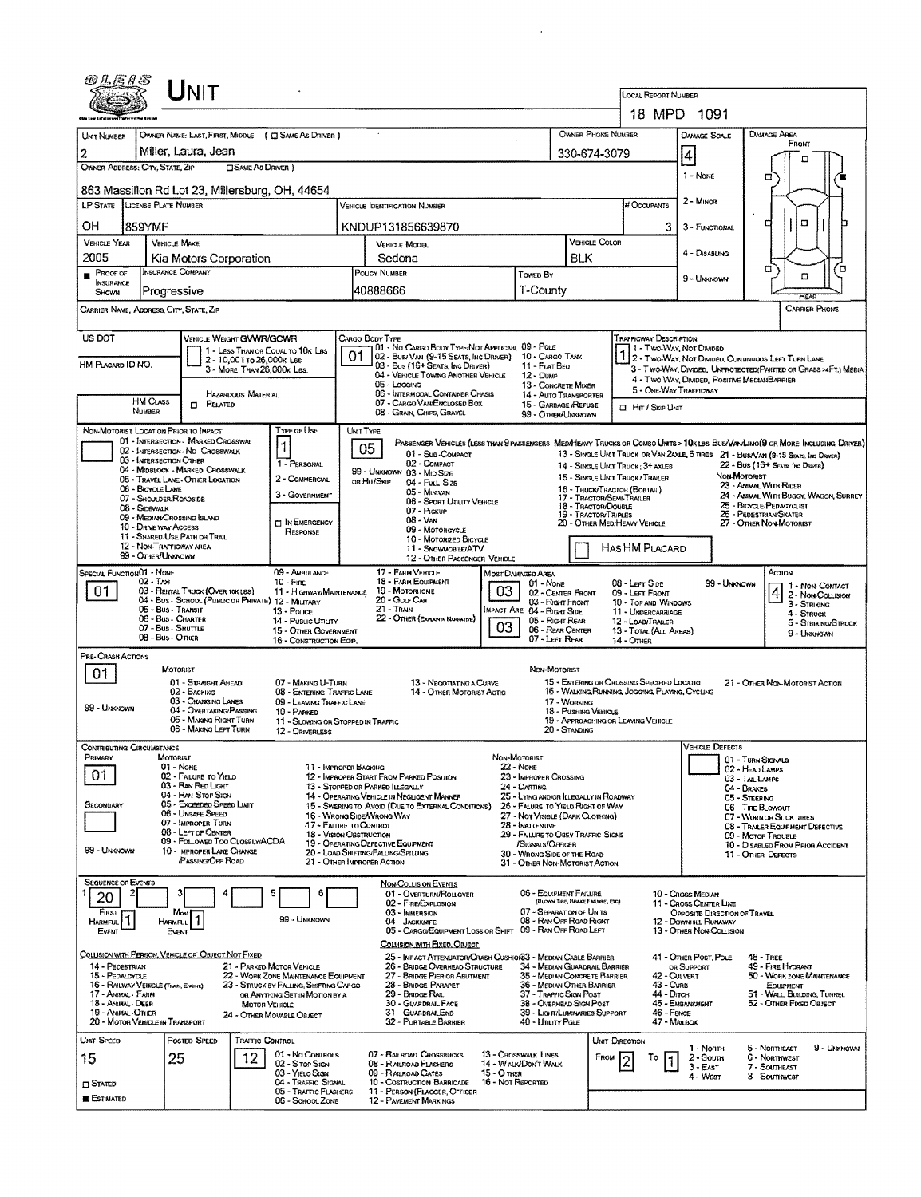| WLE1S                                   | ${\sf J}_{\sf NIT}$                                                                     |                                                                          |                                                                                                                 |                                     |                                                                       | <b>LOCAL REPORT NUMBER</b>                                                                    |                                                        |                                                                                                                                                                                                                    |  |
|-----------------------------------------|-----------------------------------------------------------------------------------------|--------------------------------------------------------------------------|-----------------------------------------------------------------------------------------------------------------|-------------------------------------|-----------------------------------------------------------------------|-----------------------------------------------------------------------------------------------|--------------------------------------------------------|--------------------------------------------------------------------------------------------------------------------------------------------------------------------------------------------------------------------|--|
|                                         |                                                                                         |                                                                          |                                                                                                                 |                                     |                                                                       |                                                                                               | 18 MPD 1091                                            |                                                                                                                                                                                                                    |  |
| Unit Number                             |                                                                                         | OWNER NAME: LAST, FIRST, MIDDLE ( C SAME AS DRIVER )                     |                                                                                                                 |                                     | <b>OWNER PHONE NUMBER</b>                                             |                                                                                               | DAMAGE SCALE                                           | DAMAGE AREA                                                                                                                                                                                                        |  |
| 2                                       | Miller, Laura, Jean                                                                     |                                                                          |                                                                                                                 |                                     | 330-674-3079                                                          |                                                                                               |                                                        | FRONT                                                                                                                                                                                                              |  |
| OWNER ADDRESS: CITY, STATE, ZIP         |                                                                                         | SAME As DRIVER )                                                         |                                                                                                                 |                                     |                                                                       |                                                                                               | $\vert 4 \vert$                                        | n                                                                                                                                                                                                                  |  |
|                                         |                                                                                         | 863 Massillon Rd Lot 23, Millersburg, OH, 44654                          |                                                                                                                 |                                     |                                                                       |                                                                                               | 1 - None                                               | α                                                                                                                                                                                                                  |  |
|                                         | LP STATE LICENSE PLATE NUMBER                                                           |                                                                          | <b>VEHICLE IDENTIFICATION NUMBER</b>                                                                            |                                     |                                                                       | # Occupants                                                                                   | 2 - MINOR                                              |                                                                                                                                                                                                                    |  |
| OH                                      | 859YMF                                                                                  |                                                                          | KNDUP131856639870                                                                                               |                                     |                                                                       | 3                                                                                             | 3 - FUNCTIONAL                                         | π<br>о                                                                                                                                                                                                             |  |
| <b>VEHICLE YEAR</b>                     | <b>VEHICLE MAKE</b>                                                                     |                                                                          | VEHICLE MODEL                                                                                                   |                                     | <b>VEHICLE COLOR</b>                                                  |                                                                                               |                                                        |                                                                                                                                                                                                                    |  |
| 2005                                    | Kia Motors Corporation                                                                  |                                                                          | Sedona                                                                                                          |                                     |                                                                       |                                                                                               | 4 - DISABLING                                          |                                                                                                                                                                                                                    |  |
| $P$ ROOF OF<br><b>INSURANCE</b>         | INSURANCE COMPANY                                                                       |                                                                          | POUCY NUMBER                                                                                                    | Towed BY                            |                                                                       |                                                                                               | 9 - UNKNOWN                                            | α<br>ם<br>α                                                                                                                                                                                                        |  |
| SHOWN                                   | Progressive                                                                             |                                                                          | 40888666                                                                                                        |                                     | T-County                                                              |                                                                                               |                                                        |                                                                                                                                                                                                                    |  |
|                                         | CARRIER NAME, ADDRESS, CITY, STATE, ZIP                                                 |                                                                          |                                                                                                                 |                                     |                                                                       |                                                                                               |                                                        | <b>CARRIER PHONE</b>                                                                                                                                                                                               |  |
| US DOT                                  |                                                                                         | VEHICLE WEIGHT GWWR/GCWR                                                 | CARGO BODY TYPE                                                                                                 |                                     |                                                                       | Trafficway Description                                                                        |                                                        |                                                                                                                                                                                                                    |  |
|                                         |                                                                                         | 1 - LESS THAN OR EQUAL TO 10K LBS<br>2 - 10,001 To 26,000K Las           | 01 - No CARGO BODY TYPE/NOT APPLICABL 09 - POLE<br>01<br>02 - Busi VAN (9-15 SEATS, INC DRIVER) 10 - CARGO TANK |                                     |                                                                       |                                                                                               | 1 - Two-Way, Not Divided                               | 2 - TWO-WAY, NOT DIVIDED, CONTINUOUS LEFT TURN LANE                                                                                                                                                                |  |
| HM PLACARD ID NO.                       |                                                                                         | 3 - MORE THAN 26,000K LBS.                                               | 03 - Bus (16+ Seats, Inc Driver)<br>04 - VEHICLE TOWING ANOTHER VEHICLE                                         | <b>12 - Duse</b>                    | 11 - FLAT BED                                                         |                                                                                               | 4 - Two-Way, Divided, Positive MediaNBARRIER           | 3 - Two-Way, Divideo, Unprotected(Painted or Grass >4Ft.) Media                                                                                                                                                    |  |
|                                         |                                                                                         | <b>HAZARDOUS MATERIAL</b>                                                | 05 - Locains<br>06 - INTERMODAL CONTAINER CHASIS                                                                |                                     | 13 - CONCRETE MIXER<br>14 - AUTO TRANSPORTER                          |                                                                                               | 5 - ONE-WAY TRAFFICWAY                                 |                                                                                                                                                                                                                    |  |
|                                         | HM CLASS<br>$\Box$ Related<br>NUMBER                                                    |                                                                          | 07 - CARGO VAN ENCLOSED BOX<br>08 - GRAIN, CHIPS, GRAVEL                                                        |                                     | 15 - GARBAGE /REFUSE<br>99 - OTHER/UNKNOWN                            | □ Hm / SxiP Uhat                                                                              |                                                        |                                                                                                                                                                                                                    |  |
|                                         | NON-MOTORIST LOCATION PRIOR TO IMPACT                                                   | TYPE OF USE                                                              | UNIT TYPE                                                                                                       |                                     |                                                                       |                                                                                               |                                                        |                                                                                                                                                                                                                    |  |
|                                         | 01 - INTERSECTION - MARKED CROSSWAL<br>02 - INTERSECTION - NO CROSSWALK                 | 1                                                                        | 05<br>01 - Sub-COMPACT                                                                                          |                                     |                                                                       |                                                                                               |                                                        | PASSENGER VEHICLES (LESS THAN 9 PASSENGERS MEDIMENTY TRUCKS OR COMBO UNITS > 10K LBS BUS/VANLIMO(9 OR MORE INCLUDING DRIVER)<br>13 - SINGLE UNIT TRUCK OR VAN 24XLE, 6 TIRES 21 - BUS/VAN (9-15 SEATS, INC DRIVER) |  |
|                                         | 03 - INTERSECTION OTHER<br>04 - MIDBLOCK - MARKED CROSSWALK                             | 1 - PERSONAL                                                             | 02 - COMPACT<br>99 - UNKNOWN 03 - MID SIZE                                                                      |                                     |                                                                       | 14 - SINGLE UNIT TRUCK: 3+ AXLES                                                              |                                                        | 22 - Bus (16+ Seats, Inc Draver)                                                                                                                                                                                   |  |
|                                         | 05 - Travel Lane - Other Location<br>06 - BICYCLE LANE                                  | 2 - COMMERCIAL                                                           | OR HIT/SKIP<br>04 - Full Size<br>05 - MINIVAN                                                                   |                                     |                                                                       | 15 - SINGLE UNIT TRUCK/TRAILER<br>16 - TRUCK/TRACTOR (BOBTAL)                                 |                                                        | NON-MOTORIST<br>23 - AMMAL WITH RIDER                                                                                                                                                                              |  |
|                                         | 07 - SHOULDER/ROADSIDE<br>08 - Sidewalk                                                 | 3 - GOVERNMENT                                                           | 06 - Sport Utiuty Vehicle<br>07 - Pickup                                                                        |                                     | 18 - TRACTOR/DOUBLE                                                   | 17 - Tractor/Semi-Trailer                                                                     |                                                        | 24 - ANIMAL WITH BUGGY, WAGON, SURREY<br>25 - BICYCLE/PEDACYCLIST                                                                                                                                                  |  |
|                                         | 09 - MEDIAN CROSSING ISLAND<br>10 - DRIVE WAY ACCESS                                    | <b>T IN EMERGENCY</b>                                                    | 08 - VAN                                                                                                        |                                     | 19 - TRACTOR/TRIPLES                                                  | 20 - OTHER MEDIHEAVY VEHICLE                                                                  |                                                        | 26 - PEDESTRIAN/SKATER<br>27 - OTHER NON-MOTORIST                                                                                                                                                                  |  |
|                                         | 11 - SHARED-USE PATH OR TRAIL<br>12 - NON-TRAFFICWAY AREA                               | <b>RESPONSE</b>                                                          | 09 - MOTORCYCLE<br>10 - Motorized Bicycle                                                                       |                                     |                                                                       |                                                                                               |                                                        |                                                                                                                                                                                                                    |  |
|                                         | 99 - OTHER/UNKNOWN                                                                      |                                                                          | 11 - SNOWMOBILE/ATV<br>12 - OTHER PASSENGER VEHICLE                                                             |                                     |                                                                       | HAS HM PLACARD                                                                                |                                                        |                                                                                                                                                                                                                    |  |
| SPECIAL FUNCTION 01 - NONE              | $02 - T_{AM}$                                                                           | 09 - AMBULANCE<br>$10 -$ Fine                                            | 17 - FARM VEHICLE<br>18 - FARM EQUIPMENT                                                                        | MOST DAMAGED AREA                   | 01 - None                                                             | 08 - LEFT SIDE                                                                                | 99 - UNKNOWN                                           | Астом                                                                                                                                                                                                              |  |
| 01                                      | 03 - RENTAL TRUCK (OVER 10K LBS)<br>04 - Bus - SCHOOL (PUBLIC OR PRIVATE) 12 - MILITARY | 11 - Highway/Mantenance                                                  | 19 - Мотояноме<br>20 - Golf Cart                                                                                | 03                                  | 02 - CENTER FRONT                                                     | 09 - LEFT FRONT                                                                               |                                                        | 1 1 - Non-Contact<br>2 - Non-Counsion                                                                                                                                                                              |  |
|                                         | 05 - Bus - Transit<br>06 - Bus - Charter                                                | 13 - Pouce                                                               | 21 - TRAIN<br>22 - OTHER (EXPLAN IN NARRATIVE)                                                                  | MPACT ARE 04 - RIGHT SIDE           | 03 - Right Front                                                      | 10 - Top and Windows<br>11 - UNDERCARRIAGE                                                    |                                                        | 3 - Striking<br>4 - STRUCK                                                                                                                                                                                         |  |
|                                         | 07 - Bus - SHUTTLE<br>08 - Bus - Other                                                  | 14 - Pusuc Unuty<br>15 - OTHER GOVERNMENT                                |                                                                                                                 | 03                                  | 05 - Right Rear<br>06 - REAR CENTER<br>07 - LEFT REAR                 | 12 - LOAD/TRAILER<br>13 - TOTAL (ALL AREAS)                                                   |                                                        | 5 - STRIKING/STRUCK<br>9 - UNKNOWN                                                                                                                                                                                 |  |
| PRE-CRASH ACTIONS                       |                                                                                         | 16 - CONSTRUCTION EOP.                                                   |                                                                                                                 |                                     |                                                                       | 14 - Отнев                                                                                    |                                                        |                                                                                                                                                                                                                    |  |
| 01                                      | <b>MOTORIST</b>                                                                         |                                                                          |                                                                                                                 |                                     | NON-MOTORIST                                                          |                                                                                               |                                                        |                                                                                                                                                                                                                    |  |
|                                         | 01 - STRAIGHT AHEAD<br>$02 -$ Backing                                                   | 07 - MAKING U-TURN<br>08 - ENTERING TRAFFIC LANE                         | 13 - NEGOTIATING A CURVE<br>14 - OTHER MOTORIST ACTIO                                                           |                                     |                                                                       | 15 - ENTERING OR CROSSING SPECIFIED LOCATIO<br>16 - WALKING RUNNING JOGGING, PLAYING, CYCLING |                                                        | 21 - OTHER NON-MOTORIST ACTION                                                                                                                                                                                     |  |
| 99 - UNKNOWN                            | 03 - CHANGING LANES<br>04 - Overtaking/Passing                                          | 09 - LEAVING TRAFFIC LANE<br>10 - PARKED                                 |                                                                                                                 |                                     | 18 - PUSHING VEHICLE                                                  |                                                                                               |                                                        |                                                                                                                                                                                                                    |  |
|                                         | 05 - MAKING RIGHT TURN<br>06 - MAKING LEFT TURN                                         | 12 - DRIVERLESS                                                          | 11 - SLOWING OR STOPPED IN TRAFFIC                                                                              |                                     | 20 - Standing                                                         | 19 - APPROACHING OR LEAVING VEHICLE                                                           |                                                        |                                                                                                                                                                                                                    |  |
| CONTRIBUTING CIRCUMSTANCE               |                                                                                         |                                                                          |                                                                                                                 |                                     |                                                                       |                                                                                               | <b>VEHICLE DEFECTS</b>                                 |                                                                                                                                                                                                                    |  |
| PRIMARY                                 | MOTORIST<br>01 - None                                                                   |                                                                          | 11 - IMPROPER BACKING                                                                                           | NON-MOTORIST<br><b>22 - NONE</b>    |                                                                       |                                                                                               |                                                        | 01 - TURN SIGNALS<br>02 - HEAD LAMPS                                                                                                                                                                               |  |
| 01                                      | 02 - FAILURE TO YIELD<br>03 - RAN RED LIGHT                                             |                                                                          | 12 - IMPROPER START FROM PARKED POSITION<br>13 - STOPPED OR PARKED ILLEGALLY                                    | 24 - DARTING                        | 23 - IMPROPER CROSSING                                                |                                                                                               |                                                        | 03 - TAIL LAMPS                                                                                                                                                                                                    |  |
| SECONDARY                               | 04 - RAN STOP SIGN<br>05 - Exceeded Speed Limit                                         |                                                                          | 14 - OPERATING VEHICLE IN NEGLIGENT MANNER                                                                      |                                     | 25 - LYING AND/OR ILLEGALLY IN ROADWAY                                |                                                                                               |                                                        | 04 - BRAKES<br>05 - STEERING                                                                                                                                                                                       |  |
|                                         | 06 - Unsafe Speed<br>07 - IMPROPER TURN                                                 |                                                                          | 15 - Swering to Avoid (Due to External Conditions)<br>16 - WRONG SIDE WRONG WAY                                 |                                     | 26 - FALURE TO YIELD RIGHT OF WAY<br>27 - NOT VISIBLE (DARK CLOTHING) |                                                                                               |                                                        | 06 - TIRE BLOWOUT<br>07 - WORN OR SUCK TIRES                                                                                                                                                                       |  |
|                                         | 08 - LEFT OF CENTER<br>09 - FOLLOWED TOO CLOSELY/ACDA                                   |                                                                          | 17 - FALURE TO CONTROL<br><b>18 - VISION OBSTRUCTION</b>                                                        | 28 - INATTENTIVE                    | 29 - FAILURE TO OBEY TRAFFIC SIGNS                                    |                                                                                               |                                                        | 08 - TRAILER EQUIPMENT DEFECTIVE<br>09 - MOTOR TROUBLE                                                                                                                                                             |  |
| 99 - UNKNOWN                            | 10 - IMPROPER LANE CHANGE                                                               |                                                                          | 19 - OPERATING DEFECTIVE EQUIPMENT<br>20 - LOAD SHIFTING/FALUNG/SPILLING                                        |                                     | /Signals/Officer<br>30 - WRONG SIDE OF THE ROAD                       |                                                                                               |                                                        | 10 - DISABLED FROM PRIOR ACCIDENT<br>11 - OTHER DEFECTS                                                                                                                                                            |  |
|                                         | <b>PASSING/OFF ROAD</b>                                                                 |                                                                          | 21 - OTHER IMPROPER ACTION                                                                                      |                                     | 31 - OTHER NON-MOTORIST ACTION                                        |                                                                                               |                                                        |                                                                                                                                                                                                                    |  |
| SEQUENCE OF EVENTS<br>20                |                                                                                         | 6                                                                        | <b>NON-COLLISION EVENTS</b><br>01 - OVERTURN/ROLLOVER                                                           |                                     | 06 - EQUIPMENT FAILURE                                                |                                                                                               | 10 - Cross Median                                      |                                                                                                                                                                                                                    |  |
| FIRST                                   | Most:                                                                                   |                                                                          | 02 - FIRE/EXPLOSION<br>03 - IMMERSION                                                                           |                                     | (BLOWN TIRE, BRAKE FAILURE, ETC)<br>07 - SEPARATION OF UNITS          |                                                                                               | 11 - CROSS CENTER LINE<br>OPPOSITE DIRECTION OF TRAVEL |                                                                                                                                                                                                                    |  |
| HARMFUL <sup>1</sup> 1                  | HARMFUL <sup>1</sup><br>Event                                                           | 99 - UNKNOWN                                                             | 04 - JACKKNIFE<br>05 - CARGO/EQUIPMENT LOSS OR SHIFT 09 - RAN OFF ROAD LEFT                                     |                                     | 08 - RAN OFF ROAD RIGHT                                               |                                                                                               | 12 - DOWNNILL RUNAWAY<br>13 - OTHER NON-COLLISION      |                                                                                                                                                                                                                    |  |
|                                         |                                                                                         |                                                                          | COLLISION WITH FIXED, OBJECT                                                                                    |                                     |                                                                       |                                                                                               |                                                        |                                                                                                                                                                                                                    |  |
| Event                                   |                                                                                         |                                                                          | 25 - IMPACT ATTENUATOR/CRASH CUSHION33 - MEDIAN CABLE BARRIER<br>26 - BRIDGE OVERHEAD STRUCTURE                 |                                     | 34 - MEDIAN GUARDRAIL BARRIER                                         |                                                                                               | 41 - Other Post, Pole<br>OR SUPPORT                    | <b>48 - TREE</b><br>49 - FIRE HYDRANT                                                                                                                                                                              |  |
|                                         | COLLISION WITH PERSON, VEHICLE OR OBJECT NOT FIXED                                      |                                                                          |                                                                                                                 |                                     |                                                                       | 42 - CULVERT                                                                                  |                                                        |                                                                                                                                                                                                                    |  |
| 14 - PEDESTRIAN<br>15 - PEDALCYCLE      |                                                                                         | 21 - PARKED MOTOR VEHICLE<br>22 - WORK ZONE MAINTENANCE EQUIPMENT        | 27 - BRIDGE PIER OR ABUTMENT                                                                                    |                                     | 35 - MEDIAN CONCRETE BARRIER                                          |                                                                                               |                                                        |                                                                                                                                                                                                                    |  |
| 17 - Animal - Farm                      | 16 - RAILWAY VEHICLE (TRAIN, ENGINE)                                                    | 23 - STRUCK BY FALLING, SHIFTING CARGO<br>OR ANYTHING SET IN MOTION BY A | 28 - Bridge PARAPET<br>29 - Bridge Rail                                                                         |                                     | 36 - MEDIAN OTHER BARRIER<br>37 - TRAFFIC SIGN POST                   | 43 - Cuna<br>44 - Олсн                                                                        |                                                        | EOUIPMENT                                                                                                                                                                                                          |  |
| 18 - Ammal - Deer<br>19 - AMMAL - OTHER |                                                                                         | <b>MOTOR VEHICLE</b><br>24 - OTHER MOVABLE OBJECT                        | 30 - GUARDRAIL FACE<br>31 - GUARDRAILEND                                                                        |                                     | 38 - Overhead Stow Post<br>39 - Light/LUMINARIES SUPPORT              | 46 - FENCE                                                                                    | 45 - EMBANKMENT                                        |                                                                                                                                                                                                                    |  |
|                                         | 20 - MOTOR VEHICLE IN TRANSPORT                                                         |                                                                          | 32 - PORTABLE BARRIER                                                                                           |                                     | 40 - Ununy Paus                                                       | 47 - MAILBOX                                                                                  |                                                        |                                                                                                                                                                                                                    |  |
| UNIT SPEED                              | POSTED SPEED                                                                            | TRAFFIC CONTROL<br>01 - No CONTROLS                                      | 07 - RAILROAD CROSSBUCKS                                                                                        | 13 - CROSSWALK LINES                |                                                                       | UMT DIRECTION                                                                                 | 1 - North                                              | 5 - NORTHEAST                                                                                                                                                                                                      |  |
| 15                                      | 25                                                                                      | 12<br>02 - S TOP SIGN<br>03 - YIELO SIGN                                 | 08 - RAILROAD FLASHERS<br>09 - RALROAD GATES                                                                    | 14 - WALK/DON'T WALK<br>15 - О тиєв |                                                                       | FROM<br>То                                                                                    | 2 - Soum<br>3 - East                                   | <b>6 - NORTHWEST</b><br>7 - SOLTHEAST                                                                                                                                                                              |  |
| <b>CI Stated</b><br><b>ESTIMATED</b>    |                                                                                         | 04 - TRAFFIC SIGNAL<br>05 - TRAFFIC FLASHERS                             | 10 - COSTRUCTION BARRICADE<br>11 - PERSON (FLAGGER, OFFICER                                                     | 16 - Not Reported                   |                                                                       |                                                                                               | 4 - West                                               | 50 - WORK ZONE MAINTENANCE<br>51 - WALL BUILDING, TUNNEL<br>52 - OTHER FIXED OBJECT<br>9 - Unknown<br>8 - SOUTHWEST                                                                                                |  |

 $\sim$   $\sim$